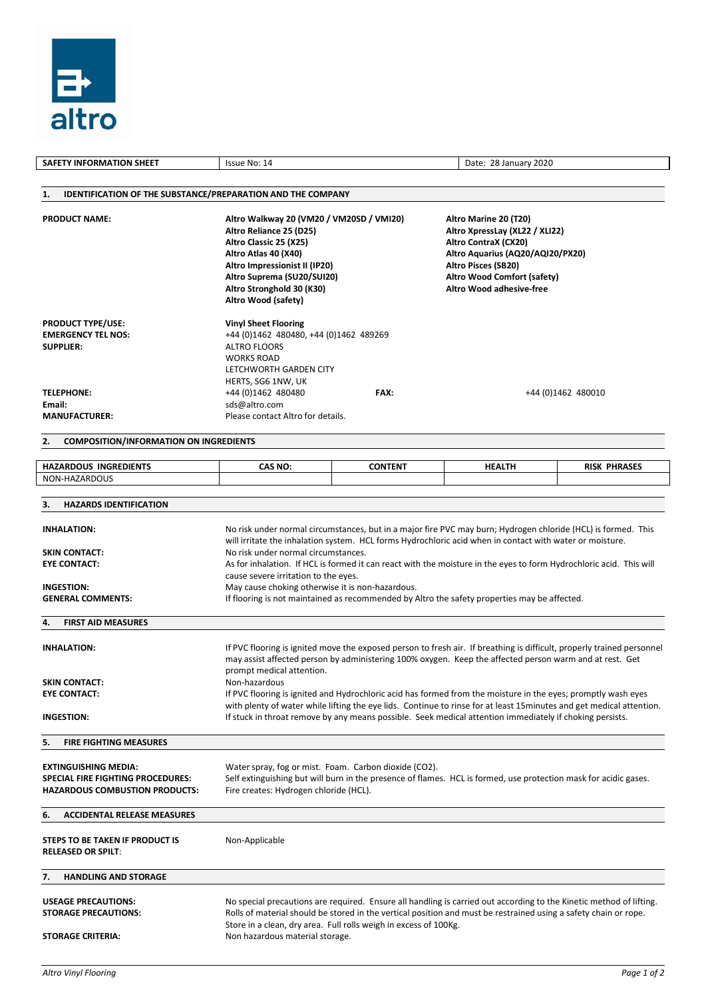

| <b>SAFETY INFORMATION SHEET</b>                                                                           | Issue No: 14                                                                                                                                                                                                                                                   |                                                                  | Date: 28 January 2020                                                                                                                                                                                                                   |                     |  |  |  |  |  |
|-----------------------------------------------------------------------------------------------------------|----------------------------------------------------------------------------------------------------------------------------------------------------------------------------------------------------------------------------------------------------------------|------------------------------------------------------------------|-----------------------------------------------------------------------------------------------------------------------------------------------------------------------------------------------------------------------------------------|---------------------|--|--|--|--|--|
|                                                                                                           |                                                                                                                                                                                                                                                                |                                                                  |                                                                                                                                                                                                                                         |                     |  |  |  |  |  |
| <b>IDENTIFICATION OF THE SUBSTANCE/PREPARATION AND THE COMPANY</b><br>1.                                  |                                                                                                                                                                                                                                                                |                                                                  |                                                                                                                                                                                                                                         |                     |  |  |  |  |  |
| <b>PRODUCT NAME:</b>                                                                                      | Altro Walkway 20 (VM20 / VM20SD / VMI20)<br>Altro Reliance 25 (D25)<br>Altro Classic 25 (X25)<br>Altro Atlas 40 (X40)<br>Altro Impressionist II (IP20)<br>Altro Suprema (SU20/SUI20)<br>Altro Stronghold 30 (K30)<br>Altro Wood (safety)                       |                                                                  | Altro Marine 20 (T20)<br>Altro XpressLay (XL22 / XLI22)<br>Altro ContraX (CX20)<br>Altro Aquarius (AQ20/AQI20/PX20)<br>Altro Pisces (SB20)<br>Altro Wood Comfort (safety)<br>Altro Wood adhesive-free                                   |                     |  |  |  |  |  |
| <b>PRODUCT TYPE/USE:</b><br><b>EMERGENCY TEL NOS:</b><br><b>SUPPLIER:</b>                                 | <b>Vinyl Sheet Flooring</b><br>+44 (0)1462 480480, +44 (0)1462 489269<br><b>ALTRO FLOORS</b><br><b>WORKS ROAD</b><br>LETCHWORTH GARDEN CITY<br>HERTS, SG6 1NW, UK                                                                                              |                                                                  |                                                                                                                                                                                                                                         |                     |  |  |  |  |  |
| <b>TELEPHONE:</b>                                                                                         | +44 (0) 1462 480480                                                                                                                                                                                                                                            | FAX:                                                             |                                                                                                                                                                                                                                         | +44 (0)1462 480010  |  |  |  |  |  |
| Email:<br><b>MANUFACTURER:</b>                                                                            | sds@altro.com<br>Please contact Altro for details.                                                                                                                                                                                                             |                                                                  |                                                                                                                                                                                                                                         |                     |  |  |  |  |  |
|                                                                                                           |                                                                                                                                                                                                                                                                |                                                                  |                                                                                                                                                                                                                                         |                     |  |  |  |  |  |
| <b>COMPOSITION/INFORMATION ON INGREDIENTS</b><br>2.                                                       |                                                                                                                                                                                                                                                                |                                                                  |                                                                                                                                                                                                                                         |                     |  |  |  |  |  |
| <b>HAZARDOUS INGREDIENTS</b>                                                                              | <b>CAS NO:</b>                                                                                                                                                                                                                                                 | <b>CONTENT</b>                                                   | <b>HEALTH</b>                                                                                                                                                                                                                           | <b>RISK PHRASES</b> |  |  |  |  |  |
| NON-HAZARDOUS                                                                                             |                                                                                                                                                                                                                                                                |                                                                  |                                                                                                                                                                                                                                         |                     |  |  |  |  |  |
| <b>HAZARDS IDENTIFICATION</b><br>З.                                                                       |                                                                                                                                                                                                                                                                |                                                                  |                                                                                                                                                                                                                                         |                     |  |  |  |  |  |
| <b>INHALATION:</b>                                                                                        | No risk under normal circumstances, but in a major fire PVC may burn; Hydrogen chloride (HCL) is formed. This<br>will irritate the inhalation system. HCL forms Hydrochloric acid when in contact with water or moisture.                                      |                                                                  |                                                                                                                                                                                                                                         |                     |  |  |  |  |  |
| <b>SKIN CONTACT:</b>                                                                                      | No risk under normal circumstances.                                                                                                                                                                                                                            |                                                                  |                                                                                                                                                                                                                                         |                     |  |  |  |  |  |
| <b>EYE CONTACT:</b>                                                                                       | As for inhalation. If HCL is formed it can react with the moisture in the eyes to form Hydrochloric acid. This will<br>cause severe irritation to the eyes.                                                                                                    |                                                                  |                                                                                                                                                                                                                                         |                     |  |  |  |  |  |
| <b>INGESTION:</b>                                                                                         | May cause choking otherwise it is non-hazardous.                                                                                                                                                                                                               |                                                                  |                                                                                                                                                                                                                                         |                     |  |  |  |  |  |
| <b>GENERAL COMMENTS:</b>                                                                                  | If flooring is not maintained as recommended by Altro the safety properties may be affected.                                                                                                                                                                   |                                                                  |                                                                                                                                                                                                                                         |                     |  |  |  |  |  |
| <b>FIRST AID MEASURES</b><br>4.                                                                           |                                                                                                                                                                                                                                                                |                                                                  |                                                                                                                                                                                                                                         |                     |  |  |  |  |  |
| <b>INHALATION:</b>                                                                                        | If PVC flooring is ignited move the exposed person to fresh air. If breathing is difficult, properly trained personnel<br>may assist affected person by administering 100% oxygen. Keep the affected person warm and at rest. Get<br>prompt medical attention. |                                                                  |                                                                                                                                                                                                                                         |                     |  |  |  |  |  |
| <b>SKIN CONTACT:</b>                                                                                      | Non-hazardous                                                                                                                                                                                                                                                  |                                                                  |                                                                                                                                                                                                                                         |                     |  |  |  |  |  |
| <b>EYE CONTACT:</b>                                                                                       | If PVC flooring is ignited and Hydrochloric acid has formed from the moisture in the eyes; promptly wash eyes                                                                                                                                                  |                                                                  |                                                                                                                                                                                                                                         |                     |  |  |  |  |  |
| <b>INGESTION:</b>                                                                                         | with plenty of water while lifting the eye lids. Continue to rinse for at least 15 minutes and get medical attention.<br>If stuck in throat remove by any means possible. Seek medical attention immediately if choking persists.                              |                                                                  |                                                                                                                                                                                                                                         |                     |  |  |  |  |  |
| 5.<br><b>FIRE FIGHTING MEASURES</b>                                                                       |                                                                                                                                                                                                                                                                |                                                                  |                                                                                                                                                                                                                                         |                     |  |  |  |  |  |
| <b>EXTINGUISHING MEDIA:</b><br>SPECIAL FIRE FIGHTING PROCEDURES:<br><b>HAZARDOUS COMBUSTION PRODUCTS:</b> | Water spray, fog or mist. Foam. Carbon dioxide (CO2).<br>Self extinguishing but will burn in the presence of flames. HCL is formed, use protection mask for acidic gases.<br>Fire creates: Hydrogen chloride (HCL).                                            |                                                                  |                                                                                                                                                                                                                                         |                     |  |  |  |  |  |
| <b>ACCIDENTAL RELEASE MEASURES</b><br>6.                                                                  |                                                                                                                                                                                                                                                                |                                                                  |                                                                                                                                                                                                                                         |                     |  |  |  |  |  |
| STEPS TO BE TAKEN IF PRODUCT IS<br><b>RELEASED OR SPILT:</b>                                              | Non-Applicable                                                                                                                                                                                                                                                 |                                                                  |                                                                                                                                                                                                                                         |                     |  |  |  |  |  |
| <b>HANDLING AND STORAGE</b><br>7.                                                                         |                                                                                                                                                                                                                                                                |                                                                  |                                                                                                                                                                                                                                         |                     |  |  |  |  |  |
| <b>USEAGE PRECAUTIONS:</b><br><b>STORAGE PRECAUTIONS:</b><br><b>STORAGE CRITERIA:</b>                     | Non hazardous material storage.                                                                                                                                                                                                                                | Store in a clean, dry area. Full rolls weigh in excess of 100Kg. | No special precautions are required. Ensure all handling is carried out according to the Kinetic method of lifting.<br>Rolls of material should be stored in the vertical position and must be restrained using a safety chain or rope. |                     |  |  |  |  |  |